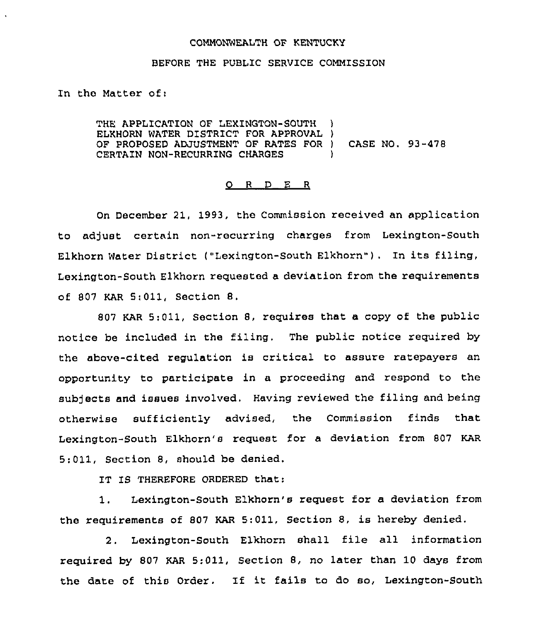## COMMONWEALTH OF KENTUCKY

## BEFORE THE PUBLIC SERVICE COMMISSION

In the Matter of:

THE APPLICATION OF LEXINGTON-SOUTH ) ELKHORN WATER DISTRICT FOR APPROVAL ) OF PROPOSED ADJUSTMENT OF RATES FOR ) CASE NO. 93-478 CERTAIN NON-RECURRING CHARGES

## O R D E R

On December 21, 1993, the Commission received an application to adjust certain non-recurring charges from Lexington-South Elkhorn Water District ("Lexington-South Elkhorn" ) . In its filing, Lexington-South Elkhorn requested a deviation from the requirements of 807 KAR 5;011, Section 8.

807 KAR 5;011, Section 8, requires that a copy of the public notice be included in the filing. The public notice required by the above-cited regulation is critical to assure ratepayers an oppor'tunity to participate in a proceeding and respond to the subjects and issues involved. Having reviewed the filing and being otherwise sufficiently advised, the Commission finds that Lexington-South Elkhorn's request for a deviation from 807 KAR 5:011, Section 8, should be denied.

IT IS THEREFORE ORDERED that:

1. Lexington-South Elkhorn's request for a deviation from the requirements of 807 KAR 5:011, Section 8, is hereby denied.

2, Lexington-South Elkhorn shall file all information required by 807 KAR 5:011, Section 8, no later than 10 days from the date of this Order. If it fails to do so, Lexington-South